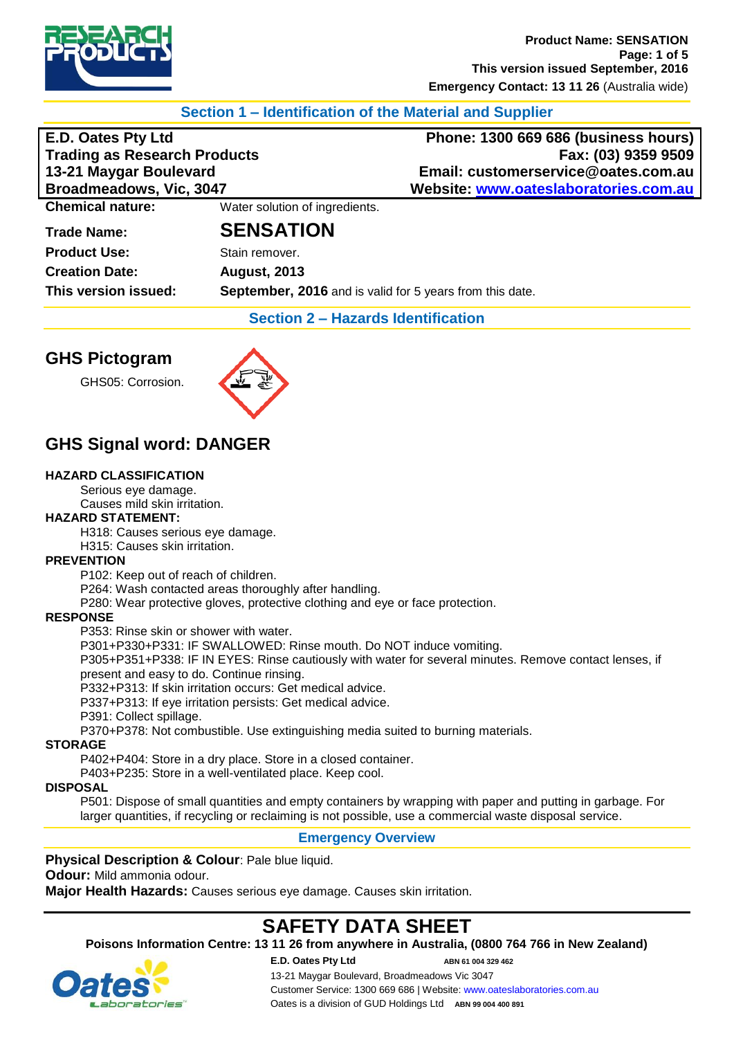

## **Section 1 – Identification of the Material and Supplier**

**Trading as Research Products**<br>13-21 Maygar Boulevard

**E.D. Oates Pty Ltd Phone: 1300 669 686 (business hours) 13-21 Maygar Boulevard Email: customerservice@oates.com.au Broadmeadows, Vic, 3047 Website: [www.oateslaboratories.com.au](http://www.oateslaboratories.com.au/)**

**Chemical nature:** Water solution of ingredients.

## **Trade Name: SENSATION**

**Product Use:** Stain remover. **Creation Date: August, 2013**

**This version issued: September, 2016** and is valid for 5 years from this date.

**Section 2 – Hazards Identification**

## **GHS Pictogram**

GHS05: Corrosion.



## **GHS Signal word: DANGER**

#### **HAZARD CLASSIFICATION**

Serious eye damage. Causes mild skin irritation.

#### **HAZARD STATEMENT:**

H318: Causes serious eye damage.

H315: Causes skin irritation.

#### **PREVENTION**

P102: Keep out of reach of children.

P264: Wash contacted areas thoroughly after handling.

P280: Wear protective gloves, protective clothing and eye or face protection.

#### **RESPONSE**

P353: Rinse skin or shower with water.

P301+P330+P331: IF SWALLOWED: Rinse mouth. Do NOT induce vomiting.

P305+P351+P338: IF IN EYES: Rinse cautiously with water for several minutes. Remove contact lenses, if present and easy to do. Continue rinsing.

P332+P313: If skin irritation occurs: Get medical advice.

P337+P313: If eye irritation persists: Get medical advice.

P391: Collect spillage.

P370+P378: Not combustible. Use extinguishing media suited to burning materials.

#### **STORAGE**

P402+P404: Store in a dry place. Store in a closed container.

P403+P235: Store in a well-ventilated place. Keep cool.

#### **DISPOSAL**

P501: Dispose of small quantities and empty containers by wrapping with paper and putting in garbage. For larger quantities, if recycling or reclaiming is not possible, use a commercial waste disposal service.

### **Emergency Overview**

**Physical Description & Colour: Pale blue liquid. Odour:** Mild ammonia odour. **Major Health Hazards:** Causes serious eye damage. Causes skin irritation.

# **SAFETY DATA SHEET**

**Poisons Information Centre: 13 11 26 from anywhere in Australia, (0800 764 766 in New Zealand)**

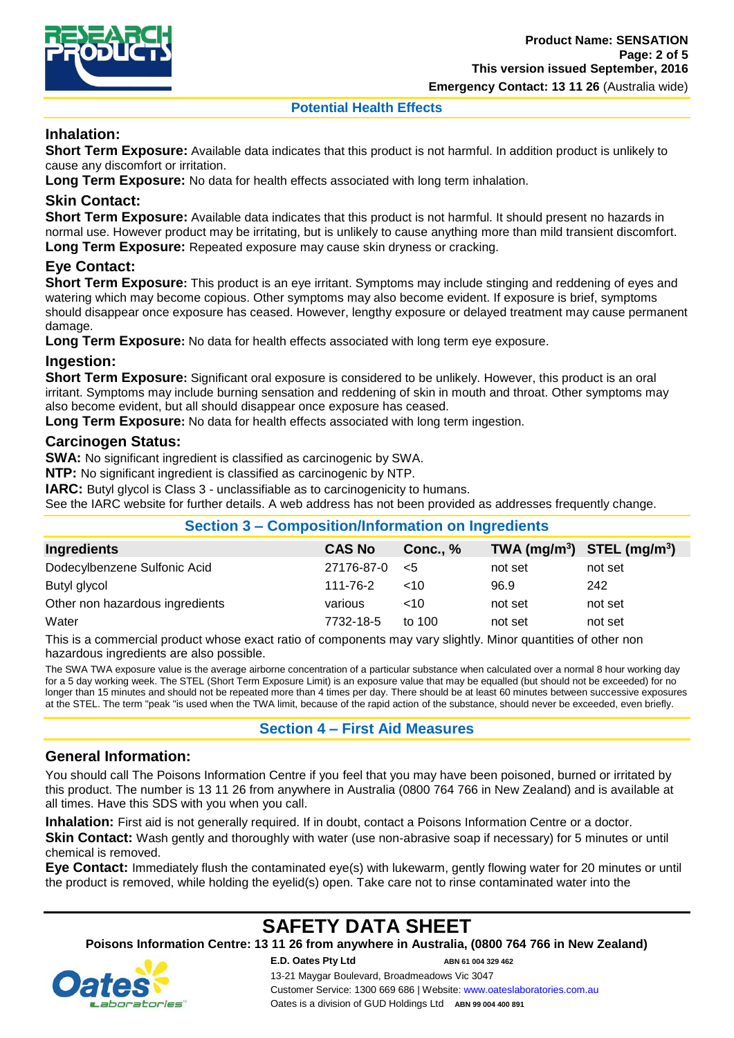

**Emergency Contact: 13 11 26** (Australia wide)

#### **Potential Health Effects**

## **Inhalation:**

**Short Term Exposure:** Available data indicates that this product is not harmful. In addition product is unlikely to cause any discomfort or irritation.

**Long Term Exposure:** No data for health effects associated with long term inhalation.

### **Skin Contact:**

**Short Term Exposure:** Available data indicates that this product is not harmful. It should present no hazards in normal use. However product may be irritating, but is unlikely to cause anything more than mild transient discomfort. **Long Term Exposure:** Repeated exposure may cause skin dryness or cracking.

## **Eye Contact:**

**Short Term Exposure:** This product is an eye irritant. Symptoms may include stinging and reddening of eyes and watering which may become copious. Other symptoms may also become evident. If exposure is brief, symptoms should disappear once exposure has ceased. However, lengthy exposure or delayed treatment may cause permanent damage.

**Long Term Exposure:** No data for health effects associated with long term eye exposure.

### **Ingestion:**

**Short Term Exposure:** Significant oral exposure is considered to be unlikely. However, this product is an oral irritant. Symptoms may include burning sensation and reddening of skin in mouth and throat. Other symptoms may also become evident, but all should disappear once exposure has ceased.

**Long Term Exposure:** No data for health effects associated with long term ingestion.

### **Carcinogen Status:**

**SWA:** No significant ingredient is classified as carcinogenic by SWA.

**NTP:** No significant ingredient is classified as carcinogenic by NTP.

**IARC:** Butyl glycol is Class 3 - unclassifiable as to carcinogenicity to humans.

See the IARC website for further details. A web address has not been provided as addresses frequently change.

| Section 3 – Composition/Information on Ingredients |               |            |                                |         |  |
|----------------------------------------------------|---------------|------------|--------------------------------|---------|--|
| Ingredients                                        | <b>CAS No</b> | Conc., $%$ | TWA $(mg/m^3)$ STEL $(mg/m^3)$ |         |  |
| Dodecylbenzene Sulfonic Acid                       | 27176-87-0    | $\leq 5$   | not set                        | not set |  |
| Butyl glycol                                       | 111-76-2      | $~<$ 10    | 96.9                           | 242     |  |
| Other non hazardous ingredients                    | various       | ~10        | not set                        | not set |  |
| Water                                              | 7732-18-5     | to 100     | not set                        | not set |  |

This is a commercial product whose exact ratio of components may vary slightly. Minor quantities of other non hazardous ingredients are also possible.

The SWA TWA exposure value is the average airborne concentration of a particular substance when calculated over a normal 8 hour working day for a 5 day working week. The STEL (Short Term Exposure Limit) is an exposure value that may be equalled (but should not be exceeded) for no longer than 15 minutes and should not be repeated more than 4 times per day. There should be at least 60 minutes between successive exposures at the STEL. The term "peak "is used when the TWA limit, because of the rapid action of the substance, should never be exceeded, even briefly.

### **Section 4 – First Aid Measures**

### **General Information:**

You should call The Poisons Information Centre if you feel that you may have been poisoned, burned or irritated by this product. The number is 13 11 26 from anywhere in Australia (0800 764 766 in New Zealand) and is available at all times. Have this SDS with you when you call.

**Inhalation:** First aid is not generally required. If in doubt, contact a Poisons Information Centre or a doctor. **Skin Contact:** Wash gently and thoroughly with water (use non-abrasive soap if necessary) for 5 minutes or until chemical is removed.

**Eye Contact:** Immediately flush the contaminated eye(s) with lukewarm, gently flowing water for 20 minutes or until the product is removed, while holding the eyelid(s) open. Take care not to rinse contaminated water into the

# **SAFETY DATA SHEET**

**Poisons Information Centre: 13 11 26 from anywhere in Australia, (0800 764 766 in New Zealand)**

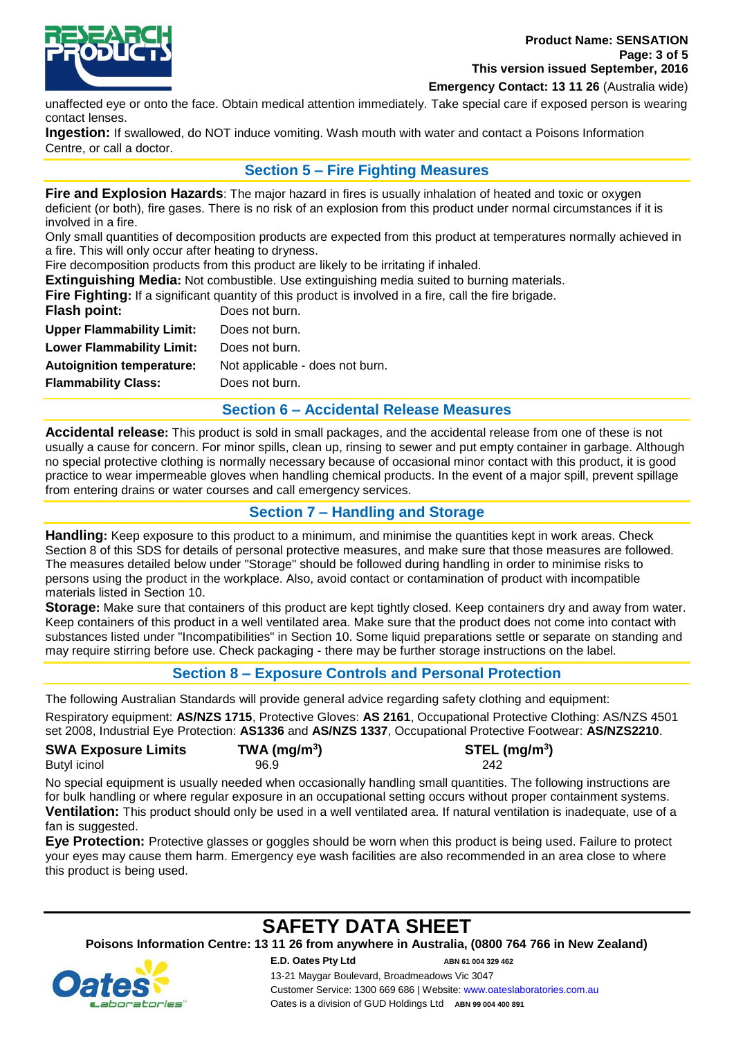

**Emergency Contact: 13 11 26** (Australia wide)

unaffected eye or onto the face. Obtain medical attention immediately. Take special care if exposed person is wearing contact lenses.

**Ingestion:** If swallowed, do NOT induce vomiting. Wash mouth with water and contact a Poisons Information Centre, or call a doctor.

### **Section 5 – Fire Fighting Measures**

**Fire and Explosion Hazards**: The major hazard in fires is usually inhalation of heated and toxic or oxygen deficient (or both), fire gases. There is no risk of an explosion from this product under normal circumstances if it is involved in a fire.

Only small quantities of decomposition products are expected from this product at temperatures normally achieved in a fire. This will only occur after heating to dryness.

Fire decomposition products from this product are likely to be irritating if inhaled.

**Extinguishing Media:** Not combustible. Use extinguishing media suited to burning materials.

**Fire Fighting:** If a significant quantity of this product is involved in a fire, call the fire brigade.

| Flash point:                     | Does not burn.                  |
|----------------------------------|---------------------------------|
| <b>Upper Flammability Limit:</b> | Does not burn.                  |
| <b>Lower Flammability Limit:</b> | Does not burn.                  |
| <b>Autoignition temperature:</b> | Not applicable - does not burn. |
| <b>Flammability Class:</b>       | Does not burn.                  |
|                                  |                                 |

### **Section 6 – Accidental Release Measures**

**Accidental release:** This product is sold in small packages, and the accidental release from one of these is not usually a cause for concern. For minor spills, clean up, rinsing to sewer and put empty container in garbage. Although no special protective clothing is normally necessary because of occasional minor contact with this product, it is good practice to wear impermeable gloves when handling chemical products. In the event of a major spill, prevent spillage from entering drains or water courses and call emergency services.

### **Section 7 – Handling and Storage**

**Handling:** Keep exposure to this product to a minimum, and minimise the quantities kept in work areas. Check Section 8 of this SDS for details of personal protective measures, and make sure that those measures are followed. The measures detailed below under "Storage" should be followed during handling in order to minimise risks to persons using the product in the workplace. Also, avoid contact or contamination of product with incompatible materials listed in Section 10.

**Storage:** Make sure that containers of this product are kept tightly closed. Keep containers dry and away from water. Keep containers of this product in a well ventilated area. Make sure that the product does not come into contact with substances listed under "Incompatibilities" in Section 10. Some liquid preparations settle or separate on standing and may require stirring before use. Check packaging - there may be further storage instructions on the label.

### **Section 8 – Exposure Controls and Personal Protection**

The following Australian Standards will provide general advice regarding safety clothing and equipment:

Respiratory equipment: **AS/NZS 1715**, Protective Gloves: **AS 2161**, Occupational Protective Clothing: AS/NZS 4501 set 2008, Industrial Eye Protection: **AS1336** and **AS/NZS 1337**, Occupational Protective Footwear: **AS/NZS2210**.

| <b>SWA Exposure Limits</b> | TWA (mg/m <sup>3</sup> ) | $STEL$ (mg/m <sup>3</sup> ) |
|----------------------------|--------------------------|-----------------------------|
| Butyl icinol               | 96.9                     | 242                         |

No special equipment is usually needed when occasionally handling small quantities. The following instructions are for bulk handling or where regular exposure in an occupational setting occurs without proper containment systems. **Ventilation:** This product should only be used in a well ventilated area. If natural ventilation is inadequate, use of a fan is suggested.

**Eye Protection:** Protective glasses or goggles should be worn when this product is being used. Failure to protect your eyes may cause them harm. Emergency eye wash facilities are also recommended in an area close to where this product is being used.

## **SAFETY DATA SHEET**

**Poisons Information Centre: 13 11 26 from anywhere in Australia, (0800 764 766 in New Zealand)**

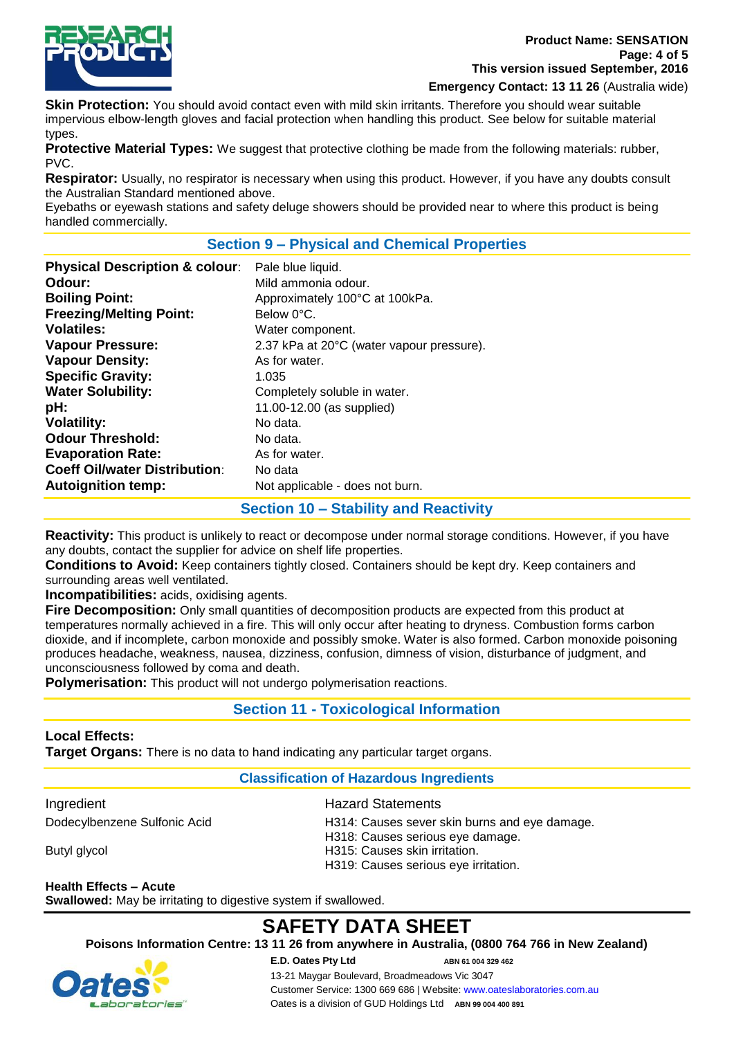

**Emergency Contact: 13 11 26** (Australia wide)

**Skin Protection:** You should avoid contact even with mild skin irritants. Therefore you should wear suitable impervious elbow-length gloves and facial protection when handling this product. See below for suitable material types.

**Protective Material Types:** We suggest that protective clothing be made from the following materials: rubber, PVC.

**Respirator:** Usually, no respirator is necessary when using this product. However, if you have any doubts consult the Australian Standard mentioned above.

Eyebaths or eyewash stations and safety deluge showers should be provided near to where this product is being handled commercially.

### **Section 9 – Physical and Chemical Properties**

| <b>Autoignition temp:</b><br>Not applicable - does not burn. |
|--------------------------------------------------------------|
|--------------------------------------------------------------|

#### **Section 10 – Stability and Reactivity**

**Reactivity:** This product is unlikely to react or decompose under normal storage conditions. However, if you have any doubts, contact the supplier for advice on shelf life properties.

**Conditions to Avoid:** Keep containers tightly closed. Containers should be kept dry. Keep containers and surrounding areas well ventilated.

**Incompatibilities:** acids, oxidising agents.

**Fire Decomposition:** Only small quantities of decomposition products are expected from this product at temperatures normally achieved in a fire. This will only occur after heating to dryness. Combustion forms carbon dioxide, and if incomplete, carbon monoxide and possibly smoke. Water is also formed. Carbon monoxide poisoning produces headache, weakness, nausea, dizziness, confusion, dimness of vision, disturbance of judgment, and unconsciousness followed by coma and death.

**Polymerisation:** This product will not undergo polymerisation reactions.

## **Section 11 - Toxicological Information**

#### **Local Effects:**

**Target Organs:** There is no data to hand indicating any particular target organs.

## **Classification of Hazardous Ingredients**

Ingredient **Hazard Statements** 

| Dodecylbenzene Sulfonic Acid | H314: Causes sever skin burns and eve damage. |
|------------------------------|-----------------------------------------------|
|                              | H318: Causes serious eye damage.              |
| Butyl glycol                 | H315: Causes skin irritation.                 |
|                              | H319: Causes serious eye irritation.          |
|                              |                                               |

**Health Effects – Acute Swallowed:** May be irritating to digestive system if swallowed.

# **SAFETY DATA SHEET**

**Poisons Information Centre: 13 11 26 from anywhere in Australia, (0800 764 766 in New Zealand)**